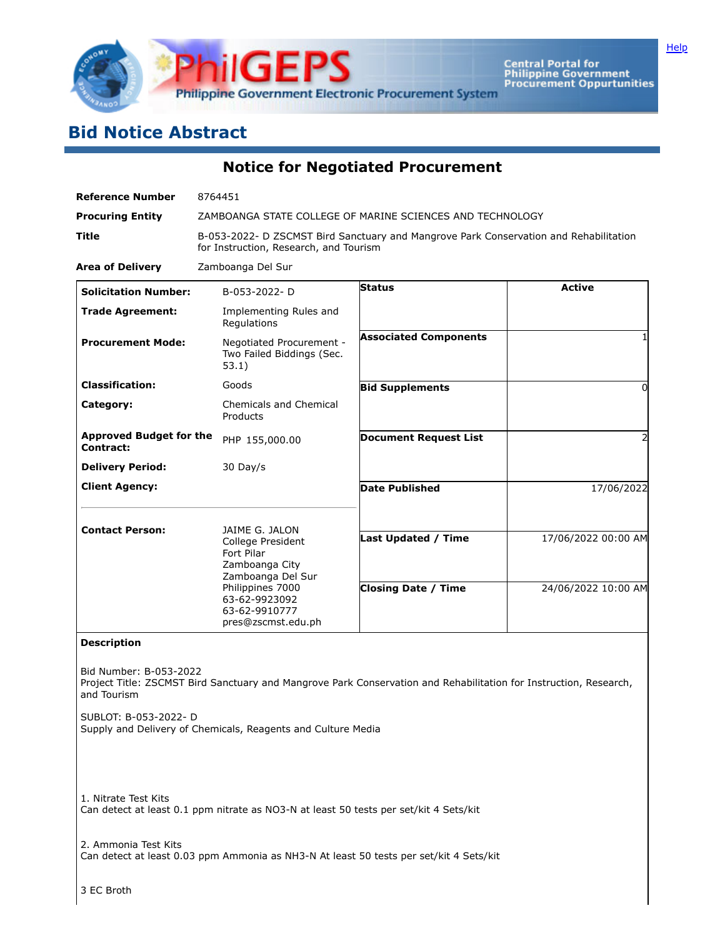

**Central Portal for<br>Philippine Government<br>Procurement Oppurtunities** 

## **Bid Notice Abstract**

**Notice for Negotiated Procurement**

| <b>Reference Number</b>                                                                                                                                                                                                                             | 8764451                                                                                                                         |                              |                     |  |  |  |
|-----------------------------------------------------------------------------------------------------------------------------------------------------------------------------------------------------------------------------------------------------|---------------------------------------------------------------------------------------------------------------------------------|------------------------------|---------------------|--|--|--|
| <b>Procuring Entity</b>                                                                                                                                                                                                                             | ZAMBOANGA STATE COLLEGE OF MARINE SCIENCES AND TECHNOLOGY                                                                       |                              |                     |  |  |  |
| Title                                                                                                                                                                                                                                               | B-053-2022- D ZSCMST Bird Sanctuary and Mangrove Park Conservation and Rehabilitation<br>for Instruction, Research, and Tourism |                              |                     |  |  |  |
| <b>Area of Delivery</b>                                                                                                                                                                                                                             | Zamboanga Del Sur                                                                                                               |                              |                     |  |  |  |
| <b>Solicitation Number:</b>                                                                                                                                                                                                                         | B-053-2022-D                                                                                                                    | <b>Status</b>                | <b>Active</b>       |  |  |  |
| <b>Trade Agreement:</b>                                                                                                                                                                                                                             | Implementing Rules and<br>Regulations                                                                                           |                              |                     |  |  |  |
| <b>Procurement Mode:</b>                                                                                                                                                                                                                            | Negotiated Procurement -<br>Two Failed Biddings (Sec.<br>53.1)                                                                  | <b>Associated Components</b> |                     |  |  |  |
| <b>Classification:</b>                                                                                                                                                                                                                              | Goods                                                                                                                           | <b>Bid Supplements</b>       | 0                   |  |  |  |
| Category:                                                                                                                                                                                                                                           | <b>Chemicals and Chemical</b><br>Products                                                                                       |                              |                     |  |  |  |
| <b>Approved Budget for the</b><br><b>Contract:</b>                                                                                                                                                                                                  | PHP 155,000.00                                                                                                                  | <b>Document Request List</b> | 2                   |  |  |  |
| <b>Delivery Period:</b>                                                                                                                                                                                                                             | 30 Day/s                                                                                                                        |                              |                     |  |  |  |
| <b>Client Agency:</b>                                                                                                                                                                                                                               |                                                                                                                                 | <b>Date Published</b>        | 17/06/2022          |  |  |  |
| <b>Contact Person:</b>                                                                                                                                                                                                                              | JAIME G. JALON<br>College President<br>Fort Pilar<br>Zamboanga City<br>Zamboanga Del Sur<br>Philippines 7000                    | <b>Last Updated / Time</b>   | 17/06/2022 00:00 AM |  |  |  |
|                                                                                                                                                                                                                                                     | 63-62-9923092<br>63-62-9910777<br>pres@zscmst.edu.ph                                                                            | <b>Closing Date / Time</b>   | 24/06/2022 10:00 AM |  |  |  |
| <b>Description</b>                                                                                                                                                                                                                                  |                                                                                                                                 |                              |                     |  |  |  |
| Bid Number: B-053-2022<br>Project Title: ZSCMST Bird Sanctuary and Mangrove Park Conservation and Rehabilitation for Instruction, Research,<br>and Tourism<br>SUBLOT: B-053-2022- D<br>Supply and Delivery of Chemicals, Reagents and Culture Media |                                                                                                                                 |                              |                     |  |  |  |
| 1. Nitrate Test Kits<br>Can detect at least 0.1 ppm nitrate as NO3-N at least 50 tests per set/kit 4 Sets/kit                                                                                                                                       |                                                                                                                                 |                              |                     |  |  |  |
| 2. Ammonia Test Kits                                                                                                                                                                                                                                |                                                                                                                                 |                              |                     |  |  |  |

Can detect at least 0.03 ppm Ammonia as NH3-N At least 50 tests per set/kit 4 Sets/kit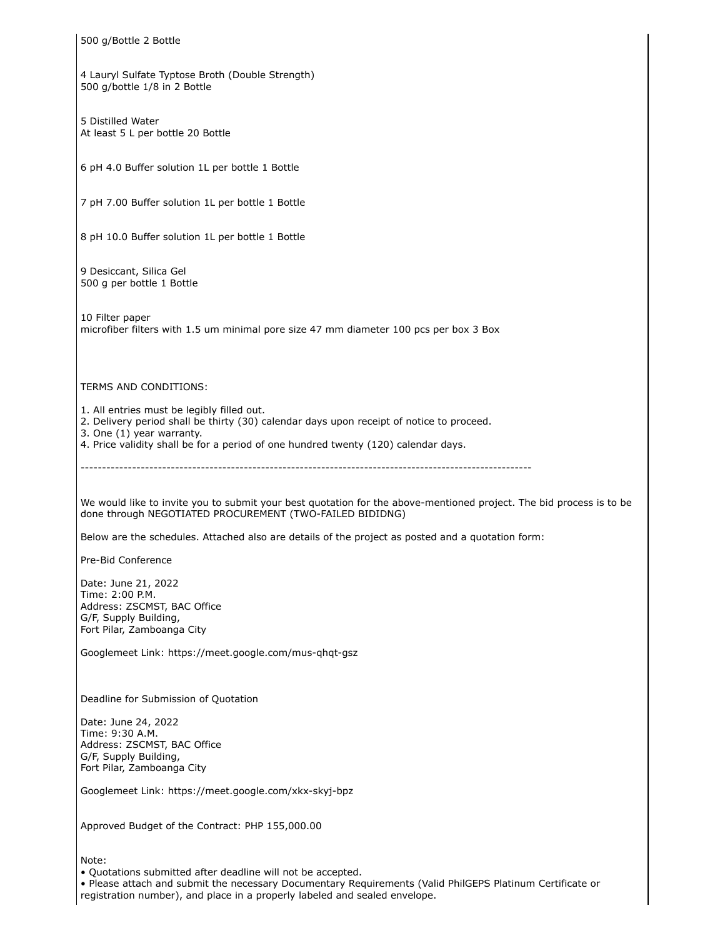500 g/Bottle 2 Bottle 4 Lauryl Sulfate Typtose Broth (Double Strength) 500 g/bottle 1/8 in 2 Bottle 5 Distilled Water At least 5 L per bottle 20 Bottle 6 pH 4.0 Buffer solution 1L per bottle 1 Bottle 7 pH 7.00 Buffer solution 1L per bottle 1 Bottle 8 pH 10.0 Buffer solution 1L per bottle 1 Bottle 9 Desiccant, Silica Gel 500 g per bottle 1 Bottle 10 Filter paper microfiber filters with 1.5 um minimal pore size 47 mm diameter 100 pcs per box 3 Box TERMS AND CONDITIONS: 1. All entries must be legibly filled out. 2. Delivery period shall be thirty (30) calendar days upon receipt of notice to proceed. 3. One (1) year warranty. 4. Price validity shall be for a period of one hundred twenty (120) calendar days. --------------------------------------------------------------------------------------------------------- We would like to invite you to submit your best quotation for the above-mentioned project. The bid process is to be done through NEGOTIATED PROCUREMENT (TWO-FAILED BIDIDNG) Below are the schedules. Attached also are details of the project as posted and a quotation form: Pre-Bid Conference Date: June 21, 2022 Time: 2:00 P.M. Address: ZSCMST, BAC Office G/F, Supply Building, Fort Pilar, Zamboanga City Googlemeet Link: https://meet.google.com/mus-qhqt-gsz Deadline for Submission of Quotation Date: June 24, 2022 Time: 9:30 A.M. Address: ZSCMST, BAC Office G/F, Supply Building, Fort Pilar, Zamboanga City Googlemeet Link: https://meet.google.com/xkx-skyj-bpz Approved Budget of the Contract: PHP 155,000.00 Note: • Quotations submitted after deadline will not be accepted. • Please attach and submit the necessary Documentary Requirements (Valid PhilGEPS Platinum Certificate or

registration number), and place in a properly labeled and sealed envelope.